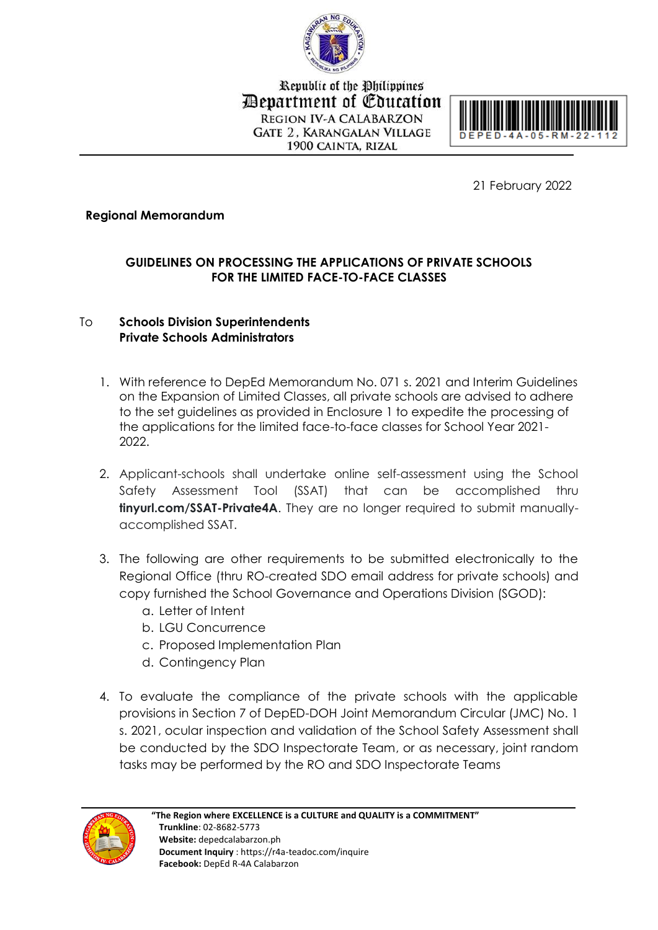

Republic of the Philippines Department of Education **REGION IV-A CALABARZON GATE 2. KARANGALAN VILLAGE** 1900 CAINTA, RIZAL



21 February 2022

### **Regional Memorandum**

# **GUIDELINES ON PROCESSING THE APPLICATIONS OF PRIVATE SCHOOLS FOR THE LIMITED FACE-TO-FACE CLASSES**

## To **Schools Division Superintendents Private Schools Administrators**

- 1. With reference to DepEd Memorandum No. 071 s. 2021 and Interim Guidelines on the Expansion of Limited Classes, all private schools are advised to adhere to the set guidelines as provided in Enclosure 1 to expedite the processing of the applications for the limited face-to-face classes for School Year 2021- 2022.
- 2. Applicant-schools shall undertake online self-assessment using the School Safety Assessment Tool (SSAT) that can be accomplished thru **tinyurl.com/SSAT-Private4A**. They are no longer required to submit manuallyaccomplished SSAT.
- 3. The following are other requirements to be submitted electronically to the Regional Office (thru RO-created SDO email address for private schools) and copy furnished the School Governance and Operations Division (SGOD):
	- a. Letter of Intent
	- b. LGU Concurrence
	- c. Proposed Implementation Plan
	- d. Contingency Plan
- 4. To evaluate the compliance of the private schools with the applicable provisions in Section 7 of DepED-DOH Joint Memorandum Circular (JMC) No. 1 s. 2021, ocular inspection and validation of the School Safety Assessment shall be conducted by the SDO Inspectorate Team, or as necessary, joint random tasks may be performed by the RO and SDO Inspectorate Teams

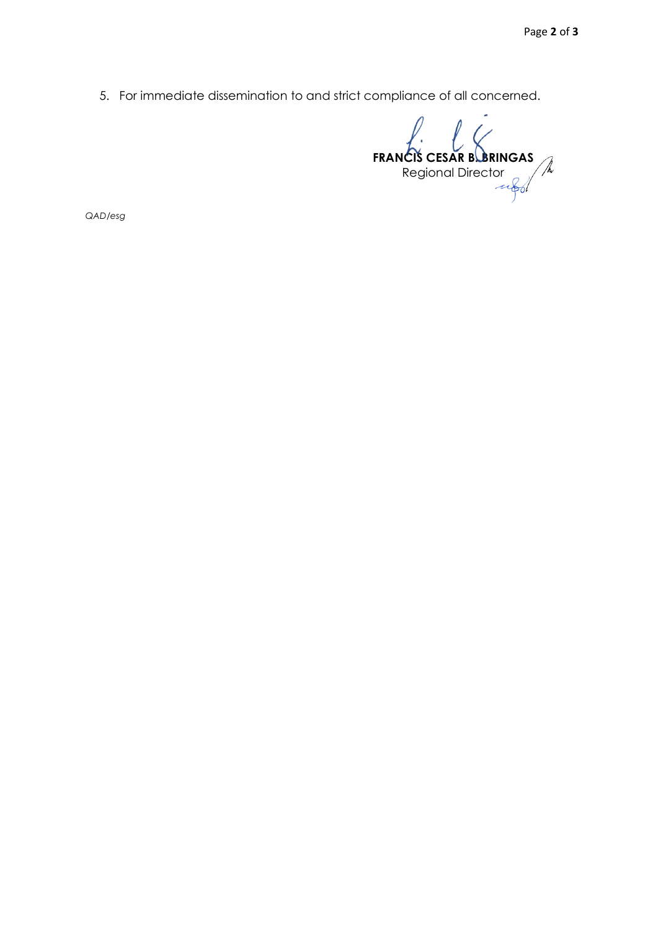5. For immediate dissemination to and strict compliance of all concerned.

**FRANCIS CESAR B. BRINGAS** Regional Director

*QAD/esg*